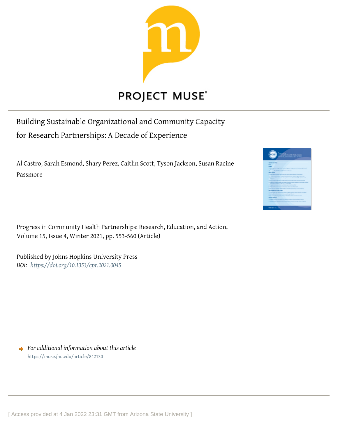

# **PROJECT MUSE®**

Building Sustainable Organizational and Community Capacity for Research Partnerships: A Decade of Experience

Al Castro, Sarah Esmond, Shary Perez, Caitlin Scott, Tyson Jackson, Susan Racine Passmore

Progress in Community Health Partnerships: Research, Education, and Action, Volume 15, Issue 4, Winter 2021, pp. 553-560 (Article)

Published by Johns Hopkins University Press *DOI: <https://doi.org/10.1353/cpr.2021.0045>*

*For additional information about this article* <https://muse.jhu.edu/article/842130>

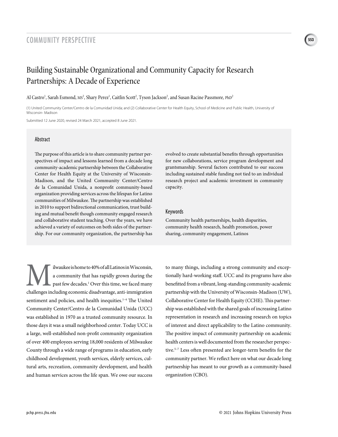## **<sup>553</sup>** COMMUNITY PERSPECTIVE

# Building Sustainable Organizational and Community Capacity for Research Partnerships: A Decade of Experience

#### Al Castro<sup>1</sup>, Sarah Esmond, MS<sup>2</sup>, Shary Perez<sup>1</sup>, Caitlin Scott<sup>2</sup>, Tyson Jackson<sup>2</sup>, and Susan Racine Passmore, PhD<sup>2</sup>

(1) United Community Center/Centro de la Comunidad Unida; and (2) Collaborative Center for Health Equity, School of Medicine and Public Health, University of Wisconsin- Madison

Submitted 12 June 2020, revised 24 March 2021, accepted 8 June 2021.

#### Abstract

The purpose of this article is to share community partner perspectives of impact and lessons learned from a decade long community-academic partnership between the Collaborative Center for Health Equity at the University of Wisconsin-Madison, and the United Community Center/Centro de la Comunidad Unida, a nonprofit community-based organization providing services across the lifespan for Latino communities of Milwaukee. The partnership was established in 2010 to support bidirectional communication, trust building and mutual benefit though community engaged research and collaborative student teaching. Over the years, we have achieved a variety of outcomes on both sides of the partnership. For our community organization, the partnership has

evolved to create substantial benefits through opportunities for new collaborations, service program development and grantsmanship. Several factors contributed to our success including sustained stable funding not tied to an individual research project and academic investment in community capacity.

#### Keywords

Community health partnerships, health disparities, community health research, health promotion, power sharing, community engagement, Latinos

Ilwaukee is home to 40% of all Latinos in Wisconsin,<br>
a community that has rapidly grown during the<br>
past few decades.<sup>1</sup> Over this time, we faced many<br>
challenges including economic disadvantage, anti-immigration a community that has rapidly grown during the past few decades.<sup>1</sup> Over this time, we faced many sentiment and policies, and health inequities.<sup>1-4</sup> The United Community Center/Centro de la Comunidad Unida (UCC) was established in 1970 as a trusted community resource. In those days it was a small neighborhood center. Today UCC is a large, well-established non-profit community organization of over 400 employees serving 18,000 residents of Milwaukee County through a wide range of programs in education, early childhood development, youth services, elderly services, cultural arts, recreation, community development, and health and human services across the life span. We owe our success

to many things, including a strong community and exceptionally hard-working staff. UCC and its programs have also benefitted from a vibrant, long-standing community-academic partnership with the University of Wisconsin-Madison (UW), Collaborative Center for Health Equity (CCHE). This partnership was established with the shared goals of increasing Latino representation in research and increasing research on topics of interest and direct applicability to the Latino community. The positive impact of community partnership on academic health centers is well documented from the researcher perspective.5–7 Less often presented are longer-term benefits for the community partner. We reflect here on what our decade long partnership has meant to our growth as a community-based organization (CBO).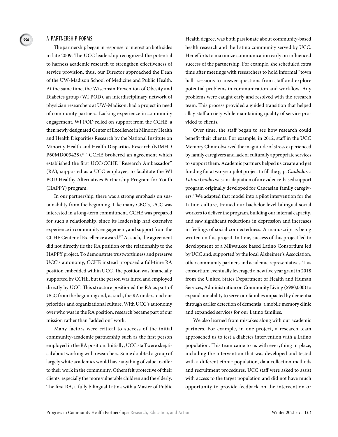#### A PARTNERSHIP FORMS

**554**

The partnership began in response to interest on both sides in late 2009. The UCC leadership recognized the potential to harness academic research to strengthen effectiveness of service provision, thus, our Director approached the Dean of the UW-Madison School of Medicine and Public Health. At the same time, the Wisconsin Prevention of Obesity and Diabetes group (WI POD), an interdisciplinary network of physician researchers at UW-Madison, had a project in need of community partners. Lacking experience in community engagement, WI POD relied on support from the CCHE, a then newly designated Center of Excellence in Minority Health and Health Disparities Research by the National Institute on Minority Health and Health Disparities Research (NIMHD P60MD003428).<sup>5-7</sup> CCHE brokered an agreement which established the first UCC/CCHE "Research Ambassador" (RA), supported as a UCC employee, to facilitate the WI POD Healthy Alternatives Partnership Program for Youth (HAPPY) program.

In our partnership, there was a strong emphasis on sustainability from the beginning. Like many CBO's, UCC was interested in a long-term commitment. CCHE was prepared for such a relationship, since its leadership had extensive experience in community engagement, and support from the CCHE Center of Excellence award.5,7 As such, the agreement did not directly tie the RA position or the relationship to the HAPPY project. To demonstrate trustworthiness and preserve UCC's autonomy, CCHE instead proposed a full-time RA position embedded within UCC. The position was financially supported by CCHE, but the person was hired and employed directly by UCC. This structure positioned the RA as part of UCC from the beginning and, as such, the RA understood our priorities and organizational culture. With UCC's autonomy over who was in the RA position, research became part of our mission rather than "added on" work.

Many factors were critical to success of the initial community-academic partnership such as the first person employed in the RA position. Initially, UCC staff were skeptical about working with researchers. Some doubted a group of largely white academics would have anything of value to offer to their work in the community. Others felt protective of their clients, especially the more vulnerable children and the elderly. The first RA, a fully bilingual Latina with a Master of Public Health degree, was both passionate about community-based health research and the Latino community served by UCC. Her efforts to maximize communication early on influenced success of the partnership. For example, she scheduled extra time after meetings with researchers to hold informal "town hall" sessions to answer questions from staff and explore potential problems in communication and workflow. Any problems were caught early and resolved with the research team. This process provided a guided transition that helped allay staff anxiety while maintaining quality of service provided to clients.

Over time, the staff began to see how research could benefit their clients. For example, in 2012, staff in the UCC Memory Clinic observed the magnitude of stress experienced by family caregivers and lack of culturally appropriate services to support them. Academic partners helped us create and get funding for a two-year pilot project to fill the gap. *Cuidadores Latino Unidos* was an adaptation of an evidence-based support program originally developed for Caucasian family caregivers.8 We adapted that model into a pilot intervention for the Latino culture, trained our bachelor level bilingual social workers to deliver the program, building our internal capacity, and saw significant reductions in depression and increases in feelings of social connectedness. A manuscript is being written on this project. In time, success of this project led to development of a Milwaukee based Latino Consortium led by UCC and, supported by the local Alzheimer's Association, other community partners and academic representatives. This consortium eventually leveraged a new five year grant in 2018 from the United States Department of Health and Human Services, Administration on Community Living (\$980,000) to expand our ability to serve our families impacted by dementia through earlier detection of dementia, a mobile memory clinic and expanded services for our Latino families.

We also learned from mistakes along with our academic partners. For example, in one project, a research team approached us to test a diabetes intervention with a Latino population. This team came to us with everything in place, including the intervention that was developed and tested with a different ethnic population, data collection methods and recruitment procedures. UCC staff were asked to assist with access to the target population and did not have much opportunity to provide feedback on the intervention or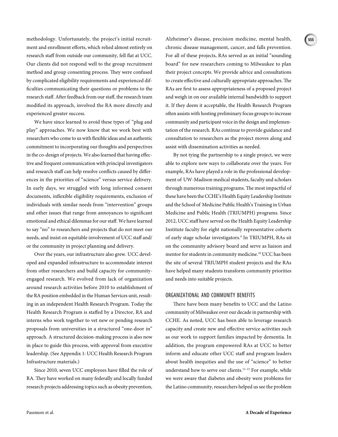methodology. Unfortunately, the project's initial recruitment and enrollment efforts, which relied almost entirely on research staff from outside our community, fell flat at UCC. Our clients did not respond well to the group recruitment method and group consenting process. They were confused by complicated eligibility requirements and experienced difficulties communicating their questions or problems to the research staff. After feedback from our staff, the research team modified its approach, involved the RA more directly and experienced greater success.

We have since learned to avoid these types of "plug and play" approaches. We now know that we work best with researchers who come to us with flexible ideas and an authentic commitment to incorporating our thoughts and perspectives in the co-design of projects. We also learned that having effective and frequent communication with principal investigators and research staff can help resolve conflicts caused by differences in the priorities of "science" versus service delivery. In early days, we struggled with long informed consent documents, inflexible eligibility requirements, exclusion of individuals with similar needs from "intervention" groups and other issues that range from annoyances to significant emotional and ethical dilemmas for our staff. We have learned to say "no" to researchers and projects that do not meet our needs, and insist on equitable involvement of UCC staff and/ or the community in project planning and delivery.

Over the years, our infrastructure also grew. UCC developed and expanded infrastructure to accommodate interest from other researchers and build capacity for communityengaged research. We evolved from lack of organization around research activities before 2010 to establishment of the RA position embedded in the Human Services unit, resulting in an independent Health Research Program. Today the Health Research Program is staffed by a Director, RA and interns who work together to vet new or pending research proposals from universities in a structured "one-door in" approach. A structured decision-making process is also now in place to guide this process, with approval from executive leadership. (See Appendix 1: UCC Health Research Program Infrastructure materials.)

Since 2010, seven UCC employees have filled the role of RA. They have worked on many federally and locally funded research projects addressing topics such as obesity prevention,

Alzheimer's disease, precision medicine, mental health, chronic disease management, cancer, and falls prevention. For all of these projects, RAs served as an initial "sounding board" for new researchers coming to Milwaukee to plan their project concepts. We provide advice and consultations to create effective and culturally appropriate approaches. The RAs are first to assess appropriateness of a proposed project and weigh in on our available internal bandwidth to support it. If they deem it acceptable, the Health Research Program often assists with hosting preliminary focus groups to increase community and participant voice in the design and implementation of the research. RAs continue to provide guidance and consultation to researchers as the project moves along and assist with dissemination activities as needed.

By not tying the partnership to a single project, we were able to explore new ways to collaborate over the years. For example, RAs have played a role in the professional development of UW-Madison medical students, faculty and scholars through numerous training programs. The most impactful of these have been the CCHE's Health Equity Leadership Institute and the School of Medicine Public Health's Training in Urban Medicine and Public Health (TRIUMPH) programs. Since 2012, UCC staff have served on the Health Equity Leadership Institute faculty for eight nationally representative cohorts of early stage scholar investigators.9 In TRIUMPH, RAs sit on the community advisory board and serve as liaison and mentor for students in community medicine.10 UCC has been the site of several TRIUMPH student projects and the RAs have helped many students transform community priorities and needs into suitable projects.

#### ORGANIZATIONAL AND COMMUNITY BENEFITS

There have been many benefits to UCC and the Latino community of Milwaukee over our decade in partnership with CCHE. As noted, UCC has been able to leverage research capacity and create new and effective service activities such as our work to support families impacted by dementia. In addition, the program empowered RAs at UCC to better inform and educate other UCC staff and program leaders about health inequities and the use of "science" to better understand how to serve our clients.<sup>11-15</sup> For example, while we were aware that diabetes and obesity were problems for the Latino community, researchers helped us see the problem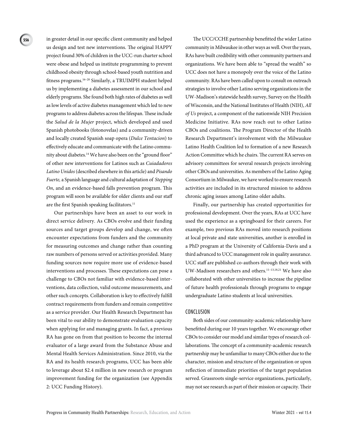in greater detail in our specific client community and helped us design and test new interventions. The original HAPPY project found 30% of children in the UCC-run charter school were obese and helped us institute programming to prevent childhood obesity through school-based youth nutrition and fitness programs.16–20 Similarly, a TRUIMPH student helped us by implementing a diabetes assessment in our school and elderly programs. She found both high rates of diabetes as well as low levels of active diabetes management which led to new programs to address diabetes across the lifespan. These include the *Salud de la Mujer* project, which developed and used Spanish photobooks (fotonovelas) and a community-driven and locally created Spanish soap opera (*Dulce Tentacion*) to effectively educate and communicate with the Latino community about diabetes*.* 14 We have also been on the "ground floor" of other new interventions for Latinos such as *Cuiadadores Latino Unidos* (described elsewhere in this article) and *Pisando Fuerte,* a Spanish language and cultural adaptation of *Stepping On*, and an evidence-based falls prevention program. This program will soon be available for older clients and our staff are the first Spanish speaking facilitators.<sup>11</sup>

Our partnerships have been an asset to our work in direct service delivery. As CBOs evolve and their funding sources and target groups develop and change, we often encounter expectations from funders and the community for measuring outcomes and change rather than counting raw numbers of persons served or activities provided. Many funding sources now require more use of evidence-based interventions and processes. These expectations can pose a challenge to CBOs not familiar with evidence-based interventions, data collection, valid outcome measurements, and other such concepts. Collaboration is key to effectively fulfill contract requirements from funders and remain competitive as a service provider. Our Health Research Department has been vital to our ability to demonstrate evaluation capacity when applying for and managing grants. In fact, a previous RA has gone on from that position to become the internal evaluator of a large award from the Substance Abuse and Mental Health Services Administration. Since 2010, via the RA and its health research programs, UCC has been able to leverage about \$2.4 million in new research or program improvement funding for the organization (see Appendix 2: UCC Funding History).

The UCC/CCHE partnership benefitted the wider Latino community in Milwaukee in other ways as well. Over the years, RAs have built credibility with other community partners and organizations. We have been able to "spread the wealth" so UCC does not have a monopoly over the voice of the Latino community. RAs have been called upon to consult on outreach strategies to involve other Latino serving organizations in the UW-Madison's statewide health survey, Survey on the Health of Wisconsin, and the National Institutes of Health (NIH), *All of Us* project, a component of the nationwide NIH Precision Medicine Initiative. RAs now reach out to other Latino CBOs and coalitions. The Program Director of the Health Research Department's involvement with the Milwaukee Latino Health Coalition led to formation of a new Research Action Committee which he chairs. The current RA serves on advisory committees for several research projects involving other CBOs and universities. As members of the Latino Aging Consortium in Milwaukee, we have worked to ensure research activities are included in its structured mission to address chronic aging issues among Latino older adults.

Finally, our partnership has created opportunities for professional development. Over the years, RAs at UCC have used the experience as a springboard for their careers. For example, two previous RAs moved into research positions at local private and state universities, another is enrolled in a PhD program at the University of California-Davis and a third advanced to UCC management role in quality assurance. UCC staff are published co-authors through their work with UW-Madison researchers and others.11–13,18,21 We have also collaborated with other universities to increase the pipeline of future health professionals through programs to engage undergraduate Latino students at local universities.

#### CONCLUSION

Both sides of our community-academic relationship have benefitted during our 10 years together. We encourage other CBOs to consider our model and similar types of research collaborations. The concept of a community-academic research partnership may be unfamiliar to many CBOs either due to the character, mission and structure of the organization or upon reflection of immediate priorities of the target population served. Grassroots single-service organizations, particularly, may not see research as part of their mission or capacity. Their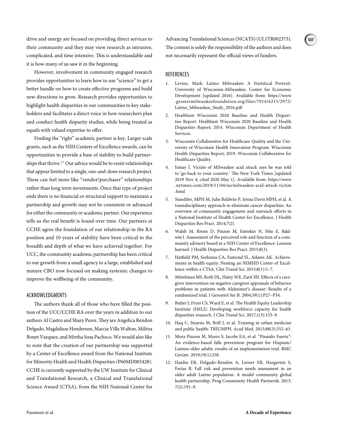drive and energy are focused on providing direct services to their community and they may view research as intrusive, complicated, and time intensive. This is understandable and it is how many of us saw it in the beginning.

However, involvement in community engaged research provides opportunities to learn how to use "science" to get a better handle on how to create effective programs and build new directions to grow. Research provides opportunities to highlight health disparities in our communities to key stakeholders and facilitates a direct voice in how researchers plan and conduct health disparity studies, while being treated as equals with valued expertise to offer.

Finding the "right" academic partner is key. Larger scale grants, such as the NIH Centers of Excellence awards, can be opportunities to provide a base of stability to build partnerships that thrive.<sup>5,7</sup> Our advice would be to resist relationships that appear limited to a single, one-and-done research project. These can feel more like "vendor/purchaser" relationships rather than long term investments. Once that type of project ends there is no financial or structural support to maintain a partnership and growth may not be consistent or advanced for either the community or academic partner. Our experience tells us the real benefit is found over time. Our partners at CCHE agree the foundation of our relationship in the RA position and 10 years of stability have been critical to the breadth and depth of what we have achieved together. For UCC, the community academic partnership has been critical to our growth from a small agency to a large, established and mature CBO now focused on making systemic changes to improve the wellbeing of the community.

#### ACKNOWLEDGMENTS

The authors thank all of those who have filled the position of the UCC/CCHE RA over the years in addition to our authors Al Castro and Shary Perez. They are Angelica Rendon Delgado, Magdalisse Henderson, Marcia Villa Walton, Militza Bonet Vazquez, and Mirtha Sosa Pacheco. We would also like to note that the creation of our partnership was supported by a Center of Excellence award from the National Institute for Minority Health and Health Disparities (P60MD003428). CCHE is currently supported by the UW Institute for Clinical and Translational Research, a Clinical and Translational Science Award (CTSA), from the NIH National Center for

Advancing Translational Sciences (NCATS) (UL1TR002373). The content is solely the responsibility of the authors and does not necessarily represent the official views of funders.

#### REFERENCES

- 1. Levine, Mark. Latino Milwaukee: A Statistical Portrait. University of Wisconsin-Milwaukee, Center for Economic Development [updated 2016]. Available from: https://www .greatermilwaukeefoundation.org/files/7914/6215/2972/ Latino\_Milwaukee\_Study\_2016.pdf
- 2. Healthiest Wisconsin 2020 Baseline and Health Disparities Report. Healthiest Wisconsin 2020 Baseline and Health Disparities Report; 2014. Wisconsin Department of Health Services.
- 3. Wisconsin Collaborative for Healthcare Quality and the University of Wisconsin Health Innovation Program. Wisconsin Health Disparities Report; 2019. Wisconsin Collaborative for Healthcare Quality.
- 4. Ismay J. Victim of Milwaukee acid attack says he was told to 'go back to your country.' The New York Times [updated 2019 Nov 4; cited 2020 May 1]. Available from: https://www .nytimes.com/2019/11/04/us/milwaukee-acid-attack-victim .html
- 5. Standifer, MPH M, Julie Baldwin P, Jenna Davis MPH, et al. A transdisciplinary approach to eliminate cancer disparities: An overview of community engagement and outreach efforts in a National Institute of Health Center for Excellence. J Health Disparities Res Pract. 2014;7(2).
- 6. Walsh M, Rivers D, Pinzon M, Entrekin N, Hite E, Baldwin J. Assessment of the perceived role and function of a community advisory board in a NIH Center of Excellence: Lessons learned. J Health Disparities Res Pract. 2015;8(3).
- 7. Hatfield PM, Sorkness CA, Esmond SL, Adams AK. Achievements in health equity: Nesting an NIMHD Center of Excellence within a CTSA. Clin Transl Sci. 2015;8(1):5–7.
- 8. Mittelman MS, Roth DL, Haley WE, Zarit SH. Effects of a caregiver intervention on negative caregiver appraisals of behavior problems in patients with Alzheimer's disease: Results of a randomized trial. J Gerontol Ser B. 2004;59(1):P27–P34.
- 9. Butler J, Fryer CS, Ward E, et al. The Health Equity Leadership Institute (HELI): Developing workforce capacity for health disparities research. J Clin Transl Sci. 2017;1(3):153–9.
- 10. Haq C, Stearns M, Brill J, et al. Training in urban medicine and public health: TRIUMPH. Acad Med. 2013;88(3):352–63.
- 11. Mora Pinzon M, Myers S, Jacobs EA, et al. "Pisando Fuerte": An evidence-based falls prevention program for Hispanic/ Latinos older adults: results of an implementation trial. BMC Geriatr. 2019;19(1):258.
- 12. Hanlin ER, Delgado-Rendón A, Lerner EB, Hargarten S, Farías R. Fall risk and prevention needs assessment in an older adult Latino population: A model community global health partnership. Prog Community Health Partnersh. 2013; 7(2):191–9.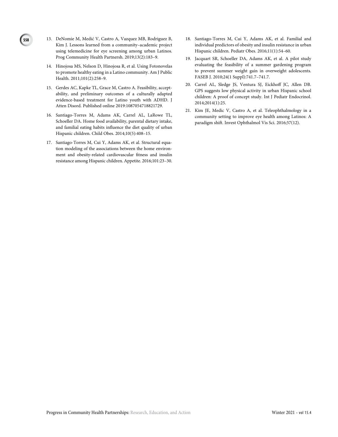13. DeNomie M, Medić V, Castro A, Vazquez MB, Rodriguez B, Kim J. Lessons learned from a community–academic project using telemedicine for eye screening among urban Latinos. Prog Community Health Partnersh. 2019;13(2):183–9.

**558**

- 14. Hinojosa MS, Nelson D, Hinojosa R, et al. Using Fotonovelas to promote healthy eating in a Latino community. Am J Public Health. 2011;101(2):258–9.
- 15. Gerdes AC, Kapke TL, Grace M, Castro A. Feasibility, acceptability, and preliminary outcomes of a culturally adapted evidence-based treatment for Latino youth with ADHD. J Atten Disord. Published online 2019:1087054718821729.
- 16. Santiago-Torres M, Adams AK, Carrel AL, LaRowe TL, Schoeller DA. Home food availability, parental dietary intake, and familial eating habits influence the diet quality of urban Hispanic children. Child Obes. 2014;10(5):408–15.
- 17. Santiago-Torres M, Cui Y, Adams AK, et al. Structural equation modeling of the associations between the home environment and obesity-related cardiovascular fitness and insulin resistance among Hispanic children. Appetite. 2016;101:23–30.
- 18. Santiago-Torres M, Cui Y, Adams AK, et al. Familial and individual predictors of obesity and insulin resistance in urban Hispanic children. Pediatr Obes. 2016;11(1):54–60.
- 19. Jacquart SR, Schoeller DA, Adams AK, et al. A pilot study evaluating the feasibility of a summer gardening program to prevent summer weight gain in overweight adolescents. FASEB J. 2010;24(1 Suppl):741.7–741.7.
- 20. Carrel AL, Sledge JS, Ventura SJ, Eickhoff JC, Allen DB. GPS suggests low physical activity in urban Hispanic school children: A proof of concept study. Int J Pediatr Endocrinol. 2014;2014(1):25.
- 21. Kim JE, Medic V, Castro A, et al. Teleophthalmology in a community setting to improve eye health among Latinos: A paradigm shift. Invest Ophthalmol Vis Sci. 2016;57(12).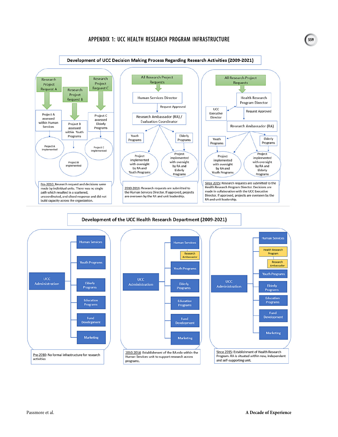#### **APPENDIX 1: UCC HEALTH RESEARCH PROGRAM INFRASTRUCTURE**



#### Development of the UCC Health Research Department (2009-2021)







**559**